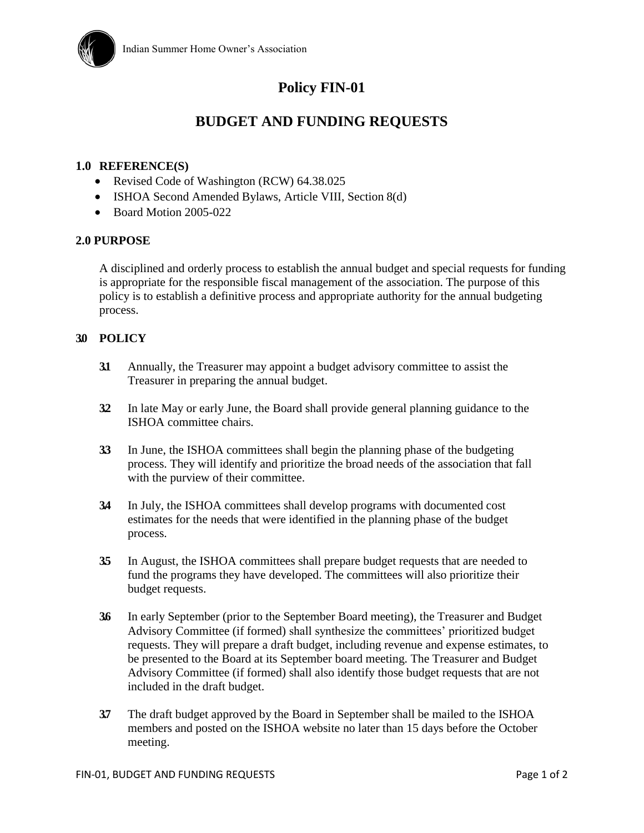

# **Policy FIN-01**

## **BUDGET AND FUNDING REQUESTS**

### **1.0 REFERENCE(S)**

- Revised Code of Washington (RCW) 64.38.025
- ISHOA Second Amended Bylaws, Article VIII, Section 8(d)
- Board Motion 2005-022

#### **2.0 PURPOSE**

A disciplined and orderly process to establish the annual budget and special requests for funding is appropriate for the responsible fiscal management of the association. The purpose of this policy is to establish a definitive process and appropriate authority for the annual budgeting process.

## **3.0 POLICY**

- **3.1** Annually, the Treasurer may appoint a budget advisory committee to assist the Treasurer in preparing the annual budget.
- **3.2** In late May or early June, the Board shall provide general planning guidance to the ISHOA committee chairs.
- **3.3** In June, the ISHOA committees shall begin the planning phase of the budgeting process. They will identify and prioritize the broad needs of the association that fall with the purview of their committee.
- **3.4** In July, the ISHOA committees shall develop programs with documented cost estimates for the needs that were identified in the planning phase of the budget process.
- **3.5** In August, the ISHOA committees shall prepare budget requests that are needed to fund the programs they have developed. The committees will also prioritize their budget requests.
- **3.6** In early September (prior to the September Board meeting), the Treasurer and Budget Advisory Committee (if formed) shall synthesize the committees' prioritized budget requests. They will prepare a draft budget, including revenue and expense estimates, to be presented to the Board at its September board meeting. The Treasurer and Budget Advisory Committee (if formed) shall also identify those budget requests that are not included in the draft budget.
- **3.7** The draft budget approved by the Board in September shall be mailed to the ISHOA members and posted on the ISHOA website no later than 15 days before the October meeting.